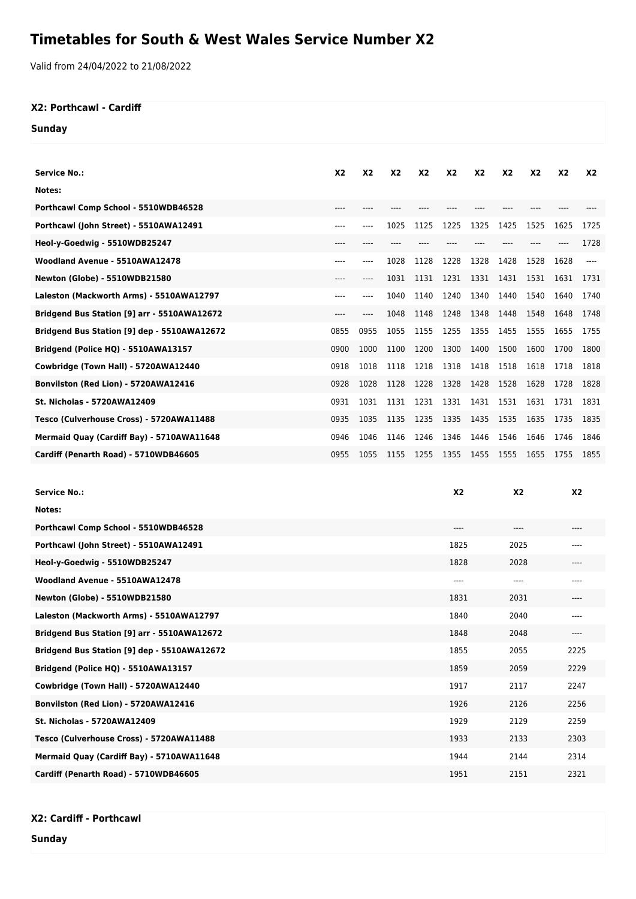## **Timetables for South & West Wales Service Number X2**

Valid from 24/04/2022 to 21/08/2022

## **X2: Porthcawl - Cardiff**

**Sunday**

| <b>Service No.:</b>                         | X <sub>2</sub> | X <sub>2</sub> | X <sub>2</sub> | X <sub>2</sub> | X <sub>2</sub> | X <sub>2</sub> | X <sub>2</sub> | X <sub>2</sub> | X <sub>2</sub> | X <sub>2</sub> |
|---------------------------------------------|----------------|----------------|----------------|----------------|----------------|----------------|----------------|----------------|----------------|----------------|
| Notes:                                      |                |                |                |                |                |                |                |                |                |                |
| Porthcawl Comp School - 5510WDB46528        | ----           |                |                |                |                |                |                |                |                |                |
| Porthcawl (John Street) - 5510AWA12491      | ----           | $---$          | 1025           | 1125           | 1225           | 1325           | 1425           | 1525           | 1625           | 1725           |
| Heol-y-Goedwig - 5510WDB25247               | $---$          |                |                |                |                |                |                |                |                | 1728           |
| Woodland Avenue - 5510AWA12478              | $---$          | $---$          | 1028           | 1128           | 1228           | 1328           | 1428           | 1528           | 1628           |                |
| Newton (Globe) - 5510WDB21580               | $---$          | $---$          | 1031           | 1131           | 1231           | 1331           | 1431           | 1531           | 1631           | 1731           |
| Laleston (Mackworth Arms) - 5510AWA12797    | $---$          | $---$          | 1040           | 1140           | 1240           | 1340           | 1440           | 1540           | 1640           | 1740           |
| Bridgend Bus Station [9] arr - 5510AWA12672 | $---$          | $---$          | 1048           | 1148           | 1248           | 1348           | 1448           | 1548           | 1648           | 1748           |
| Bridgend Bus Station [9] dep - 5510AWA12672 | 0855           | 0955           | 1055           | 1155           | 1255           | 1355           | 1455           | 1555           | 1655           | 1755           |
| Bridgend (Police HQ) - 5510AWA13157         | 0900           | 1000           | 1100           | 1200           | 1300           | 1400           | 1500           | 1600           | 1700           | 1800           |
| Cowbridge (Town Hall) - 5720AWA12440        | 0918           | 1018           | 1118           | 1218           | 1318           | 1418           | 1518           | 1618           | 1718           | 1818           |
| Bonvilston (Red Lion) - 5720AWA12416        | 0928           | 1028           | 1128           | 1228           | 1328           | 1428           | 1528           | 1628           | 1728           | 1828           |
| <b>St. Nicholas - 5720AWA12409</b>          | 0931           | 1031           | 1131           | 1231           | 1331           | 1431           | 1531           | 1631           | 1731           | 1831           |
| Tesco (Culverhouse Cross) - 5720AWA11488    | 0935           | 1035           | 1135           | 1235           | 1335           | 1435           | 1535           | 1635           | 1735           | 1835           |
| Mermaid Quay (Cardiff Bay) - 5710AWA11648   | 0946           | 1046           | 1146           | 1246           | 1346           | 1446           | 1546           | 1646           | 1746           | 1846           |
| Cardiff (Penarth Road) - 5710WDB46605       | 0955           | 1055           | 1155           | 1255           | 1355           | 1455           | 1555           | 1655           | 1755           | 1855           |
|                                             |                |                |                |                |                |                |                |                |                |                |

| <b>Service No.:</b>                         | X <sub>2</sub> | X <sub>2</sub> | X <sub>2</sub> |
|---------------------------------------------|----------------|----------------|----------------|
| Notes:                                      |                |                |                |
| Porthcawl Comp School - 5510WDB46528        | $---$          | ----           | $---$          |
| Porthcawl (John Street) - 5510AWA12491      | 1825           | 2025           | ----           |
| Heol-y-Goedwig - 5510WDB25247               | 1828           | 2028           | $---$          |
| Woodland Avenue - 5510AWA12478              | $---$          | ----           | $---$          |
| Newton (Globe) - 5510WDB21580               | 1831           | 2031           | $---$          |
| Laleston (Mackworth Arms) - 5510AWA12797    | 1840           | 2040           | $---$          |
| Bridgend Bus Station [9] arr - 5510AWA12672 | 1848           | 2048           | $---$          |
| Bridgend Bus Station [9] dep - 5510AWA12672 | 1855           | 2055           | 2225           |
| Bridgend (Police HQ) - 5510AWA13157         | 1859           | 2059           | 2229           |
| Cowbridge (Town Hall) - 5720AWA12440        | 1917           | 2117           | 2247           |
| Bonvilston (Red Lion) - 5720AWA12416        | 1926           | 2126           | 2256           |
| <b>St. Nicholas - 5720AWA12409</b>          | 1929           | 2129           | 2259           |
| Tesco (Culverhouse Cross) - 5720AWA11488    | 1933           | 2133           | 2303           |
| Mermaid Quay (Cardiff Bay) - 5710AWA11648   | 1944           | 2144           | 2314           |
| Cardiff (Penarth Road) - 5710WDB46605       | 1951           | 2151           | 2321           |

**X2: Cardiff - Porthcawl**

**Sunday**